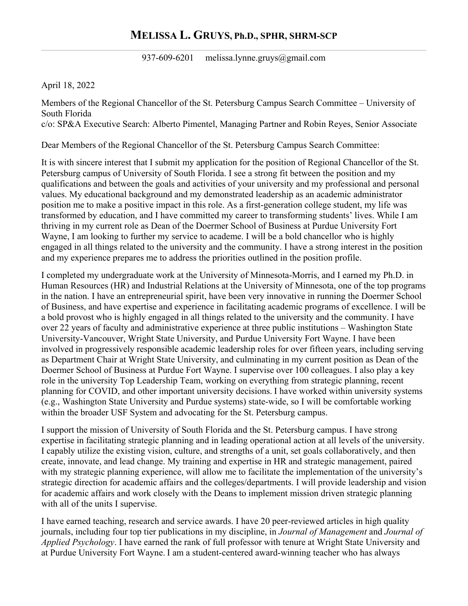## **MELISSA L. GRUYS, Ph.D., SPHR, SHRM-SCP**

937-609-6201 melissa.lynne.gruys@gmail.com

April 18, 2022

Members of the Regional Chancellor of the St. Petersburg Campus Search Committee – University of South Florida c/o: SP&A Executive Search: Alberto Pimentel, Managing Partner and Robin Reyes, Senior Associate

Dear Members of the Regional Chancellor of the St. Petersburg Campus Search Committee:

It is with sincere interest that I submit my application for the position of Regional Chancellor of the St. Petersburg campus of University of South Florida. I see a strong fit between the position and my qualifications and between the goals and activities of your university and my professional and personal values. My educational background and my demonstrated leadership as an academic administrator position me to make a positive impact in this role. As a first-generation college student, my life was transformed by education, and I have committed my career to transforming students' lives. While I am thriving in my current role as Dean of the Doermer School of Business at Purdue University Fort Wayne, I am looking to further my service to academe. I will be a bold chancellor who is highly engaged in all things related to the university and the community. I have a strong interest in the position and my experience prepares me to address the priorities outlined in the position profile.

I completed my undergraduate work at the University of Minnesota-Morris, and I earned my Ph.D. in Human Resources (HR) and Industrial Relations at the University of Minnesota, one of the top programs in the nation. I have an entrepreneurial spirit, have been very innovative in running the Doermer School of Business, and have expertise and experience in facilitating academic programs of excellence. I will be a bold provost who is highly engaged in all things related to the university and the community. I have over 22 years of faculty and administrative experience at three public institutions – Washington State University-Vancouver, Wright State University, and Purdue University Fort Wayne. I have been involved in progressively responsible academic leadership roles for over fifteen years, including serving as Department Chair at Wright State University, and culminating in my current position as Dean of the Doermer School of Business at Purdue Fort Wayne. I supervise over 100 colleagues. I also play a key role in the university Top Leadership Team, working on everything from strategic planning, recent planning for COVID, and other important university decisions. I have worked within university systems (e.g., Washington State University and Purdue systems) state-wide, so I will be comfortable working within the broader USF System and advocating for the St. Petersburg campus.

I support the mission of University of South Florida and the St. Petersburg campus. I have strong expertise in facilitating strategic planning and in leading operational action at all levels of the university. I capably utilize the existing vision, culture, and strengths of a unit, set goals collaboratively, and then create, innovate, and lead change. My training and expertise in HR and strategic management, paired with my strategic planning experience, will allow me to facilitate the implementation of the university's strategic direction for academic affairs and the colleges/departments. I will provide leadership and vision for academic affairs and work closely with the Deans to implement mission driven strategic planning with all of the units I supervise.

I have earned teaching, research and service awards. I have 20 peer-reviewed articles in high quality journals, including four top tier publications in my discipline, in *Journal of Management* and *Journal of Applied Psychology*. I have earned the rank of full professor with tenure at Wright State University and at Purdue University Fort Wayne. I am a student-centered award-winning teacher who has always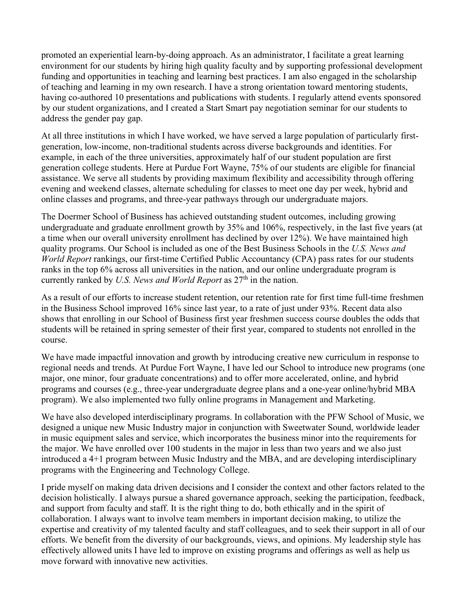promoted an experiential learn-by-doing approach. As an administrator, I facilitate a great learning environment for our students by hiring high quality faculty and by supporting professional development funding and opportunities in teaching and learning best practices. I am also engaged in the scholarship of teaching and learning in my own research. I have a strong orientation toward mentoring students, having co-authored 10 presentations and publications with students. I regularly attend events sponsored by our student organizations, and I created a Start Smart pay negotiation seminar for our students to address the gender pay gap.

At all three institutions in which I have worked, we have served a large population of particularly firstgeneration, low-income, non-traditional students across diverse backgrounds and identities. For example, in each of the three universities, approximately half of our student population are first generation college students. Here at Purdue Fort Wayne, 75% of our students are eligible for financial assistance. We serve all students by providing maximum flexibility and accessibility through offering evening and weekend classes, alternate scheduling for classes to meet one day per week, hybrid and online classes and programs, and three-year pathways through our undergraduate majors.

The Doermer School of Business has achieved outstanding student outcomes, including growing undergraduate and graduate enrollment growth by 35% and 106%, respectively, in the last five years (at a time when our overall university enrollment has declined by over 12%). We have maintained high quality programs. Our School is included as one of the Best Business Schools in the *U.S. News and World Report* rankings, our first-time Certified Public Accountancy (CPA) pass rates for our students ranks in the top 6% across all universities in the nation, and our online undergraduate program is currently ranked by *U.S. News and World Report* as  $27<sup>th</sup>$  in the nation.

As a result of our efforts to increase student retention, our retention rate for first time full-time freshmen in the Business School improved 16% since last year, to a rate of just under 93%. Recent data also shows that enrolling in our School of Business first year freshmen success course doubles the odds that students will be retained in spring semester of their first year, compared to students not enrolled in the course.

We have made impactful innovation and growth by introducing creative new curriculum in response to regional needs and trends. At Purdue Fort Wayne, I have led our School to introduce new programs (one major, one minor, four graduate concentrations) and to offer more accelerated, online, and hybrid programs and courses (e.g., three-year undergraduate degree plans and a one-year online/hybrid MBA program). We also implemented two fully online programs in Management and Marketing.

We have also developed interdisciplinary programs. In collaboration with the PFW School of Music, we designed a unique new Music Industry major in conjunction with Sweetwater Sound, worldwide leader in music equipment sales and service, which incorporates the business minor into the requirements for the major. We have enrolled over 100 students in the major in less than two years and we also just introduced a 4+1 program between Music Industry and the MBA, and are developing interdisciplinary programs with the Engineering and Technology College.

I pride myself on making data driven decisions and I consider the context and other factors related to the decision holistically. I always pursue a shared governance approach, seeking the participation, feedback, and support from faculty and staff. It is the right thing to do, both ethically and in the spirit of collaboration. I always want to involve team members in important decision making, to utilize the expertise and creativity of my talented faculty and staff colleagues, and to seek their support in all of our efforts. We benefit from the diversity of our backgrounds, views, and opinions. My leadership style has effectively allowed units I have led to improve on existing programs and offerings as well as help us move forward with innovative new activities.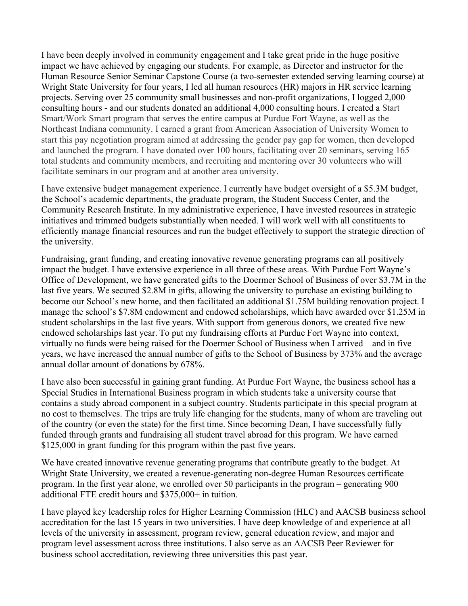I have been deeply involved in community engagement and I take great pride in the huge positive impact we have achieved by engaging our students. For example, as Director and instructor for the Human Resource Senior Seminar Capstone Course (a two-semester extended serving learning course) at Wright State University for four years, I led all human resources (HR) majors in HR service learning projects. Serving over 25 community small businesses and non-profit organizations, I logged 2,000 consulting hours - and our students donated an additional 4,000 consulting hours. I created a Start Smart/Work Smart program that serves the entire campus at Purdue Fort Wayne, as well as the Northeast Indiana community. I earned a grant from American Association of University Women to start this pay negotiation program aimed at addressing the gender pay gap for women, then developed and launched the program. I have donated over 100 hours, facilitating over 20 seminars, serving 165 total students and community members, and recruiting and mentoring over 30 volunteers who will facilitate seminars in our program and at another area university.

I have extensive budget management experience. I currently have budget oversight of a \$5.3M budget, the School's academic departments, the graduate program, the Student Success Center, and the Community Research Institute. In my administrative experience, I have invested resources in strategic initiatives and trimmed budgets substantially when needed. I will work well with all constituents to efficiently manage financial resources and run the budget effectively to support the strategic direction of the university.

Fundraising, grant funding, and creating innovative revenue generating programs can all positively impact the budget. I have extensive experience in all three of these areas. With Purdue Fort Wayne's Office of Development, we have generated gifts to the Doermer School of Business of over \$3.7M in the last five years. We secured \$2.8M in gifts, allowing the university to purchase an existing building to become our School's new home, and then facilitated an additional \$1.75M building renovation project. I manage the school's \$7.8M endowment and endowed scholarships, which have awarded over \$1.25M in student scholarships in the last five years. With support from generous donors, we created five new endowed scholarships last year. To put my fundraising efforts at Purdue Fort Wayne into context, virtually no funds were being raised for the Doermer School of Business when I arrived – and in five years, we have increased the annual number of gifts to the School of Business by 373% and the average annual dollar amount of donations by 678%.

I have also been successful in gaining grant funding. At Purdue Fort Wayne, the business school has a Special Studies in International Business program in which students take a university course that contains a study abroad component in a subject country. Students participate in this special program at no cost to themselves. The trips are truly life changing for the students, many of whom are traveling out of the country (or even the state) for the first time. Since becoming Dean, I have successfully fully funded through grants and fundraising all student travel abroad for this program. We have earned \$125,000 in grant funding for this program within the past five years.

We have created innovative revenue generating programs that contribute greatly to the budget. At Wright State University, we created a revenue-generating non-degree Human Resources certificate program. In the first year alone, we enrolled over 50 participants in the program – generating 900 additional FTE credit hours and \$375,000+ in tuition.

I have played key leadership roles for Higher Learning Commission (HLC) and AACSB business school accreditation for the last 15 years in two universities. I have deep knowledge of and experience at all levels of the university in assessment, program review, general education review, and major and program level assessment across three institutions. I also serve as an AACSB Peer Reviewer for business school accreditation, reviewing three universities this past year.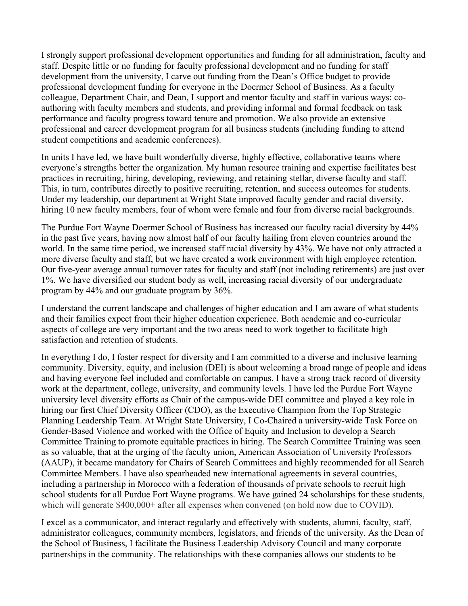I strongly support professional development opportunities and funding for all administration, faculty and staff. Despite little or no funding for faculty professional development and no funding for staff development from the university, I carve out funding from the Dean's Office budget to provide professional development funding for everyone in the Doermer School of Business. As a faculty colleague, Department Chair, and Dean, I support and mentor faculty and staff in various ways: coauthoring with faculty members and students, and providing informal and formal feedback on task performance and faculty progress toward tenure and promotion. We also provide an extensive professional and career development program for all business students (including funding to attend student competitions and academic conferences).

In units I have led, we have built wonderfully diverse, highly effective, collaborative teams where everyone's strengths better the organization. My human resource training and expertise facilitates best practices in recruiting, hiring, developing, reviewing, and retaining stellar, diverse faculty and staff. This, in turn, contributes directly to positive recruiting, retention, and success outcomes for students. Under my leadership, our department at Wright State improved faculty gender and racial diversity, hiring 10 new faculty members, four of whom were female and four from diverse racial backgrounds.

The Purdue Fort Wayne Doermer School of Business has increased our faculty racial diversity by 44% in the past five years, having now almost half of our faculty hailing from eleven countries around the world. In the same time period, we increased staff racial diversity by 43%. We have not only attracted a more diverse faculty and staff, but we have created a work environment with high employee retention. Our five-year average annual turnover rates for faculty and staff (not including retirements) are just over 1%. We have diversified our student body as well, increasing racial diversity of our undergraduate program by 44% and our graduate program by 36%.

I understand the current landscape and challenges of higher education and I am aware of what students and their families expect from their higher education experience. Both academic and co-curricular aspects of college are very important and the two areas need to work together to facilitate high satisfaction and retention of students.

In everything I do, I foster respect for diversity and I am committed to a diverse and inclusive learning community. Diversity, equity, and inclusion (DEI) is about welcoming a broad range of people and ideas and having everyone feel included and comfortable on campus. I have a strong track record of diversity work at the department, college, university, and community levels. I have led the Purdue Fort Wayne university level diversity efforts as Chair of the campus-wide DEI committee and played a key role in hiring our first Chief Diversity Officer (CDO), as the Executive Champion from the Top Strategic Planning Leadership Team. At Wright State University, I Co-Chaired a university-wide Task Force on Gender-Based Violence and worked with the Office of Equity and Inclusion to develop a Search Committee Training to promote equitable practices in hiring. The Search Committee Training was seen as so valuable, that at the urging of the faculty union, American Association of University Professors (AAUP), it became mandatory for Chairs of Search Committees and highly recommended for all Search Committee Members. I have also spearheaded new international agreements in several countries, including a partnership in Morocco with a federation of thousands of private schools to recruit high school students for all Purdue Fort Wayne programs. We have gained 24 scholarships for these students, which will generate \$400,000+ after all expenses when convened (on hold now due to COVID).

I excel as a communicator, and interact regularly and effectively with students, alumni, faculty, staff, administrator colleagues, community members, legislators, and friends of the university. As the Dean of the School of Business, I facilitate the Business Leadership Advisory Council and many corporate partnerships in the community. The relationships with these companies allows our students to be